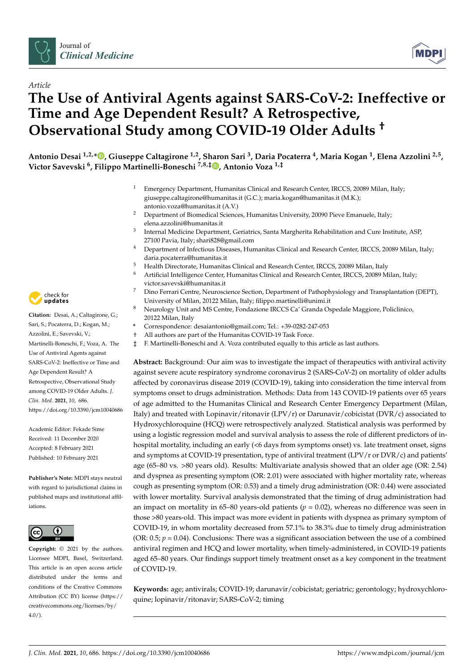



# *Article* **The Use of Antiviral Agents against SARS-CoV-2: Ineffective or Time and Age Dependent Result? A Retrospective, Observational Study among COVID-19 Older Adults †**

**Antonio Desai 1,2,[\\*](https://orcid.org/0000-0003-4674-4905) , Giuseppe Caltagirone 1,2, Sharon Sari <sup>3</sup> , Daria Pocaterra <sup>4</sup> , Maria Kogan <sup>1</sup> , Elena Azzolini 2,5 , Victor Savevski <sup>6</sup> , Filippo Martinelli-Boneschi 7,8,‡ [,](https://orcid.org/0000-0002-9955-1368) Antonio Voza 1,‡**

- <sup>1</sup> Emergency Department, Humanitas Clinical and Research Center, IRCCS, 20089 Milan, Italy; giuseppe.caltagirone@humanitas.it (G.C.); maria.kogan@humanitas.it (M.K.); antonio.voza@humanitas.it (A.V.)
- <sup>2</sup> Department of Biomedical Sciences, Humanitas University, 20090 Pieve Emanuele, Italy; elena.azzolini@humanitas.it
- $3$  Internal Medicine Department, Geriatrics, Santa Margherita Rehabilitation and Cure Institute, ASP, 27100 Pavia, Italy; shari828@gmail.com
- <sup>4</sup> Department of Infectious Diseases, Humanitas Clinical and Research Center, IRCCS, 20089 Milan, Italy; daria.pocaterra@humanitas.it
- <sup>5</sup> Health Directorate, Humanitas Clinical and Research Center, IRCCS, 20089 Milan, Italy
	- <sup>6</sup> Artificial Intelligence Center, Humanitas Clinical and Research Center, IRCCS, 20089 Milan, Italy; victor.savevski@humanitas.it
- <sup>7</sup> Dino Ferrari Centre, Neuroscience Section, Department of Pathophysiology and Transplantation (DEPT), University of Milan, 20122 Milan, Italy; filippo.martinelli@unimi.it
- <sup>8</sup> Neurology Unit and MS Centre, Fondazione IRCCS Ca' Granda Ospedale Maggiore, Policlinico, 20122 Milan, Italy
- **\*** Correspondence: desaiantonio@gmail.com; Tel.: +39-0282-247-053
- All authors are part of the Humanitas COVID-19 Task Force.
- ‡ F. Martinelli-Boneschi and A. Voza contributed equally to this article as last authors.

**Abstract:** Background: Our aim was to investigate the impact of therapeutics with antiviral activity against severe acute respiratory syndrome coronavirus 2 (SARS-CoV-2) on mortality of older adults affected by coronavirus disease 2019 (COVID-19), taking into consideration the time interval from symptoms onset to drugs administration. Methods: Data from 143 COVID-19 patients over 65 years of age admitted to the Humanitas Clinical and Research Center Emergency Department (Milan, Italy) and treated with Lopinavir/ritonavir (LPV/r) or Darunavir/cobicistat (DVR/c) associated to Hydroxychloroquine (HCQ) were retrospectively analyzed. Statistical analysis was performed by using a logistic regression model and survival analysis to assess the role of different predictors of inhospital mortality, including an early (<6 days from symptoms onset) vs. late treatment onset, signs and symptoms at COVID-19 presentation, type of antiviral treatment (LPV/r or DVR/c) and patients' age (65–80 vs. >80 years old). Results: Multivariate analysis showed that an older age (OR: 2.54) and dyspnea as presenting symptom (OR: 2.01) were associated with higher mortality rate, whereas cough as presenting symptom (OR: 0.53) and a timely drug administration (OR: 0.44) were associated with lower mortality. Survival analysis demonstrated that the timing of drug administration had an impact on mortality in 65–80 years-old patients ( $p = 0.02$ ), whereas no difference was seen in those >80 years-old. This impact was more evident in patients with dyspnea as primary symptom of COVID-19, in whom mortality decreased from 57.1% to 38.3% due to timely drug administration (OR:  $0.5$ ;  $p = 0.04$ ). Conclusions: There was a significant association between the use of a combined antiviral regimen and HCQ and lower mortality, when timely-administered, in COVID-19 patients aged 65–80 years. Our findings support timely treatment onset as a key component in the treatment of COVID-19.

**Keywords:** age; antivirals; COVID-19; darunavir/cobicistat; geriatric; gerontology; hydroxychloroquine; lopinavir/ritonavir; SARS-CoV-2; timing



**Citation:** Desai, A.; Caltagirone, G.; Sari, S.; Pocaterra, D.; Kogan, M.; Azzolini, E.; Savevski, V.; Martinelli-Boneschi, F.; Voza, A. The Use of Antiviral Agents against SARS-CoV-2: Ineffective or Time and Age Dependent Result? A Retrospective, Observational Study among COVID-19 Older Adults. *J. Clin. Med.* **2021**, *10*, 686. <https://doi.org/10.3390/jcm10040686>

Academic Editor: Fekade Sime Received: 11 December 2020 Accepted: 8 February 2021 Published: 10 February 2021

**Publisher's Note:** MDPI stays neutral with regard to jurisdictional claims in published maps and institutional affiliations.



**Copyright:** © 2021 by the authors. Licensee MDPI, Basel, Switzerland. This article is an open access article distributed under the terms and conditions of the Creative Commons Attribution (CC BY) license (https:/[/](https://creativecommons.org/licenses/by/4.0/) [creativecommons.org/licenses/by/](https://creativecommons.org/licenses/by/4.0/)  $4.0/$ ).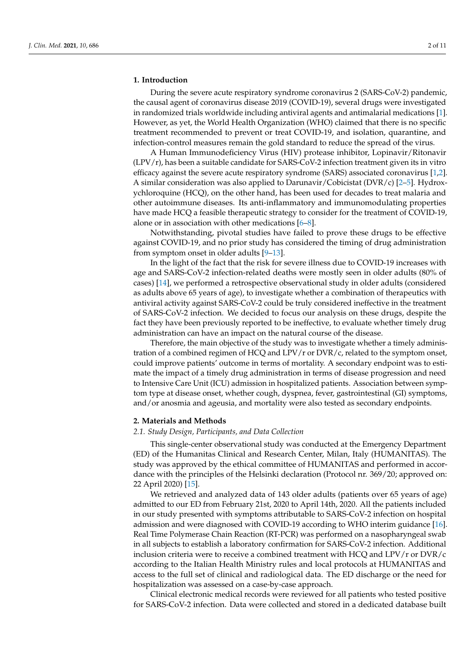#### **1. Introduction**

During the severe acute respiratory syndrome coronavirus 2 (SARS-CoV-2) pandemic, the causal agent of coronavirus disease 2019 (COVID-19), several drugs were investigated in randomized trials worldwide including antiviral agents and antimalarial medications [\[1\]](#page-8-0). However, as yet, the World Health Organization (WHO) claimed that there is no specific treatment recommended to prevent or treat COVID-19, and isolation, quarantine, and infection-control measures remain the gold standard to reduce the spread of the virus.

A Human Immunodeficiency Virus (HIV) protease inhibitor, Lopinavir/Ritonavir (LPV/r), has been a suitable candidate for SARS-CoV-2 infection treatment given its in vitro efficacy against the severe acute respiratory syndrome (SARS) associated coronavirus [\[1](#page-8-0)[,2\]](#page-8-1). A similar consideration was also applied to Darunavir/Cobicistat (DVR/c) [\[2–](#page-8-1)[5\]](#page-8-2). Hydroxychloroquine (HCQ), on the other hand, has been used for decades to treat malaria and other autoimmune diseases. Its anti-inflammatory and immunomodulating properties have made HCQ a feasible therapeutic strategy to consider for the treatment of COVID-19, alone or in association with other medications  $[6-8]$  $[6-8]$ .

Notwithstanding, pivotal studies have failed to prove these drugs to be effective against COVID-19, and no prior study has considered the timing of drug administration from symptom onset in older adults [\[9–](#page-9-1)[13\]](#page-9-2).

In the light of the fact that the risk for severe illness due to COVID-19 increases with age and SARS-CoV-2 infection-related deaths were mostly seen in older adults (80% of cases) [\[14\]](#page-9-3), we performed a retrospective observational study in older adults (considered as adults above 65 years of age), to investigate whether a combination of therapeutics with antiviral activity against SARS-CoV-2 could be truly considered ineffective in the treatment of SARS-CoV-2 infection. We decided to focus our analysis on these drugs, despite the fact they have been previously reported to be ineffective, to evaluate whether timely drug administration can have an impact on the natural course of the disease.

Therefore, the main objective of the study was to investigate whether a timely administration of a combined regimen of HCQ and LPV/r or DVR/c, related to the symptom onset, could improve patients' outcome in terms of mortality. A secondary endpoint was to estimate the impact of a timely drug administration in terms of disease progression and need to Intensive Care Unit (ICU) admission in hospitalized patients. Association between symptom type at disease onset, whether cough, dyspnea, fever, gastrointestinal (GI) symptoms, and/or anosmia and ageusia, and mortality were also tested as secondary endpoints.

#### **2. Materials and Methods**

# *2.1. Study Design, Participants, and Data Collection*

This single-center observational study was conducted at the Emergency Department (ED) of the Humanitas Clinical and Research Center, Milan, Italy (HUMANITAS). The study was approved by the ethical committee of HUMANITAS and performed in accordance with the principles of the Helsinki declaration (Protocol nr. 369/20; approved on: 22 April 2020) [\[15\]](#page-9-4).

We retrieved and analyzed data of 143 older adults (patients over 65 years of age) admitted to our ED from February 21st, 2020 to April 14th, 2020. All the patients included in our study presented with symptoms attributable to SARS-CoV-2 infection on hospital admission and were diagnosed with COVID-19 according to WHO interim guidance [\[16\]](#page-9-5). Real Time Polymerase Chain Reaction (RT-PCR) was performed on a nasopharyngeal swab in all subjects to establish a laboratory confirmation for SARS-CoV-2 infection. Additional inclusion criteria were to receive a combined treatment with HCQ and LPV/r or DVR/c according to the Italian Health Ministry rules and local protocols at HUMANITAS and access to the full set of clinical and radiological data. The ED discharge or the need for hospitalization was assessed on a case-by-case approach.

Clinical electronic medical records were reviewed for all patients who tested positive for SARS-CoV-2 infection. Data were collected and stored in a dedicated database built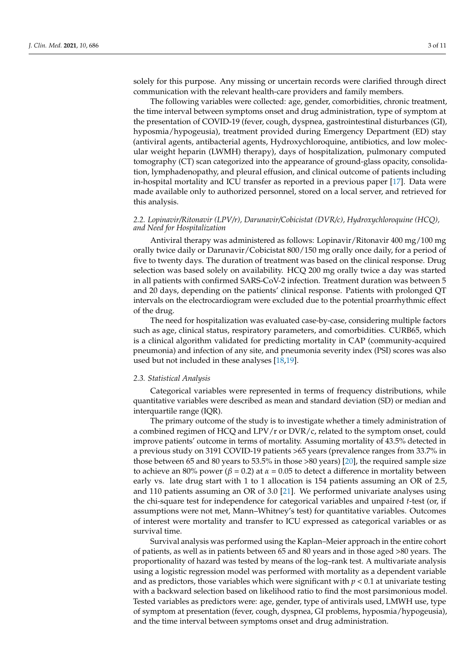solely for this purpose. Any missing or uncertain records were clarified through direct communication with the relevant health-care providers and family members.

The following variables were collected: age, gender, comorbidities, chronic treatment, the time interval between symptoms onset and drug administration, type of symptom at the presentation of COVID-19 (fever, cough, dyspnea, gastrointestinal disturbances (GI), hyposmia/hypogeusia), treatment provided during Emergency Department (ED) stay (antiviral agents, antibacterial agents, Hydroxychloroquine, antibiotics, and low molecular weight heparin (LWMH) therapy), days of hospitalization, pulmonary computed tomography (CT) scan categorized into the appearance of ground-glass opacity, consolidation, lymphadenopathy, and pleural effusion, and clinical outcome of patients including in-hospital mortality and ICU transfer as reported in a previous paper [\[17\]](#page-9-6). Data were made available only to authorized personnel, stored on a local server, and retrieved for this analysis.

# *2.2. Lopinavir/Ritonavir (LPV/r), Darunavir/Cobicistat (DVR/c), Hydroxychloroquine (HCQ), and Need for Hospitalization*

Antiviral therapy was administered as follows: Lopinavir/Ritonavir 400 mg/100 mg orally twice daily or Darunavir/Cobicistat 800/150 mg orally once daily, for a period of five to twenty days. The duration of treatment was based on the clinical response. Drug selection was based solely on availability. HCQ 200 mg orally twice a day was started in all patients with confirmed SARS-CoV-2 infection. Treatment duration was between 5 and 20 days, depending on the patients' clinical response. Patients with prolonged QT intervals on the electrocardiogram were excluded due to the potential proarrhythmic effect of the drug.

The need for hospitalization was evaluated case-by-case, considering multiple factors such as age, clinical status, respiratory parameters, and comorbidities. CURB65, which is a clinical algorithm validated for predicting mortality in CAP (community-acquired pneumonia) and infection of any site, and pneumonia severity index (PSI) scores was also used but not included in these analyses [\[18,](#page-9-7)[19\]](#page-9-8).

## *2.3. Statistical Analysis*

Categorical variables were represented in terms of frequency distributions, while quantitative variables were described as mean and standard deviation (SD) or median and interquartile range (IQR).

The primary outcome of the study is to investigate whether a timely administration of a combined regimen of HCQ and LPV/r or DVR/c, related to the symptom onset, could improve patients' outcome in terms of mortality. Assuming mortality of 43.5% detected in a previous study on 3191 COVID-19 patients >65 years (prevalence ranges from 33.7% in those between 65 and 80 years to 53.5% in those >80 years) [\[20\]](#page-9-9), the required sample size to achieve an 80% power ( $β = 0.2$ ) at  $α = 0.05$  to detect a difference in mortality between early vs. late drug start with 1 to 1 allocation is 154 patients assuming an OR of 2.5, and 110 patients assuming an OR of 3.0 [\[21\]](#page-9-10). We performed univariate analyses using the chi-square test for independence for categorical variables and unpaired *t*-test (or, if assumptions were not met, Mann–Whitney's test) for quantitative variables. Outcomes of interest were mortality and transfer to ICU expressed as categorical variables or as survival time.

Survival analysis was performed using the Kaplan–Meier approach in the entire cohort of patients, as well as in patients between 65 and 80 years and in those aged >80 years. The proportionality of hazard was tested by means of the log–rank test. A multivariate analysis using a logistic regression model was performed with mortality as a dependent variable and as predictors, those variables which were significant with  $p < 0.1$  at univariate testing with a backward selection based on likelihood ratio to find the most parsimonious model. Tested variables as predictors were: age, gender, type of antivirals used, LMWH use, type of symptom at presentation (fever, cough, dyspnea, GI problems, hyposmia/hypogeusia), and the time interval between symptoms onset and drug administration.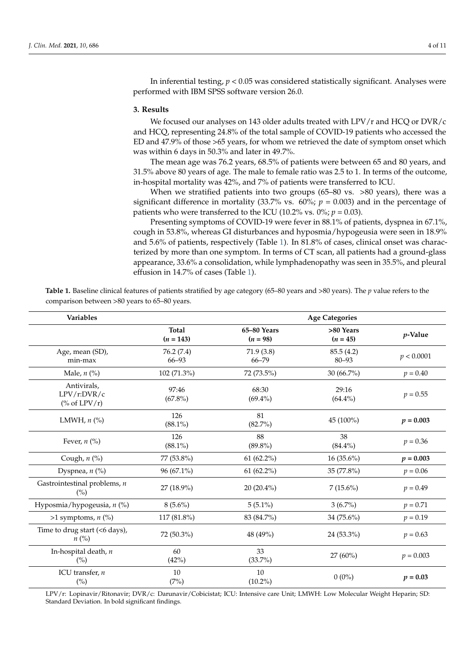In inferential testing, *p* < 0.05 was considered statistically significant. Analyses were performed with IBM SPSS software version 26.0.

#### **3. Results**

We focused our analyses on 143 older adults treated with LPV/r and HCQ or DVR/c and HCQ, representing 24.8% of the total sample of COVID-19 patients who accessed the ED and 47.9% of those >65 years, for whom we retrieved the date of symptom onset which was within 6 days in 50.3% and later in 49.7%.

The mean age was 76.2 years, 68.5% of patients were between 65 and 80 years, and 31.5% above 80 years of age. The male to female ratio was 2.5 to 1. In terms of the outcome, in-hospital mortality was 42%, and 7% of patients were transferred to ICU.

When we stratified patients into two groups (65–80 vs. >80 years), there was a significant difference in mortality (33.7% vs.  $60\%$ ;  $p = 0.003$ ) and in the percentage of patients who were transferred to the ICU (10.2% vs.  $0\%$ ;  $p = 0.03$ ).

Presenting symptoms of COVID-19 were fever in 88.1% of patients, dyspnea in 67.1%, cough in 53.8%, whereas GI disturbances and hyposmia/hypogeusia were seen in 18.9% and 5.6% of patients, respectively (Table [1\)](#page-3-0). In 81.8% of cases, clinical onset was characterized by more than one symptom. In terms of CT scan, all patients had a ground-glass appearance, 33.6% a consolidation, while lymphadenopathy was seen in 35.5%, and pleural effusion in 14.7% of cases (Table [1\)](#page-3-0).

<span id="page-3-0"></span>**Table 1.** Baseline clinical features of patients stratified by age category (65–80 years and >80 years). The *p* value refers to the comparison between >80 years to 65–80 years.

| <b>Variables</b>                                    |                             | <b>Age Categories</b>     |                         |             |  |  |
|-----------------------------------------------------|-----------------------------|---------------------------|-------------------------|-------------|--|--|
|                                                     | <b>Total</b><br>$(n = 143)$ | 65-80 Years<br>$(n = 98)$ | >80 Years<br>$(n = 45)$ | $p$ -Value  |  |  |
| Age, mean (SD),<br>min-max                          | 76.2(7.4)<br>66-93          | 71.9(3.8)<br>$66 - 79$    | 85.5(4.2)<br>$80 - 93$  | p < 0.0001  |  |  |
| Male, $n$ (%)                                       | 102 (71.3%)                 | 72 (73.5%)                | 30 (66.7%)              | $p = 0.40$  |  |  |
| Antivirals,<br>LPV/r:DVR/c<br>(% of $LPV/r$ )       | 97:46<br>$(67.8\%)$         | 68:30<br>$(69.4\%)$       | 29:16<br>$(64.4\%)$     | $p = 0.55$  |  |  |
| LMWH, $n$ $\left(\frac{9}{6}\right)$                | 126<br>$(88.1\%)$           | 81<br>$(82.7\%)$          | 45 (100%)               | $p = 0.003$ |  |  |
| Fever, $n$ (%)                                      | 126<br>$(88.1\%)$           | 88<br>$(89.8\%)$          | 38<br>$(84.4\%)$        | $p = 0.36$  |  |  |
| Cough, $n$ (%)                                      | 77 (53.8%)                  | $61(62.2\%)$              | $16(35.6\%)$            | $p = 0.003$ |  |  |
| Dyspnea, $n$ (%)                                    | $96(67.1\%)$                | $61(62.2\%)$              | 35 (77.8%)              | $p = 0.06$  |  |  |
| Gastrointestinal problems, $n$<br>(%)               | 27 (18.9%)                  | $20(20.4\%)$              | $7(15.6\%)$             | $p = 0.49$  |  |  |
| Hyposmia/hypogeusia, n (%)                          | $8(5.6\%)$                  | $5(5.1\%)$                | $3(6.7\%)$              | $p = 0.71$  |  |  |
| >1 symptoms, $n$ (%)                                | 117 (81.8%)                 | 83 (84.7%)                | 34 (75.6%)              | $p = 0.19$  |  |  |
| Time to drug start (<6 days),<br>$n\left(\%\right)$ | 72 (50.3%)                  | 48 (49%)                  | 24 (53.3%)              | $p = 0.63$  |  |  |
| In-hospital death, n<br>$(\%)$                      | 60<br>(42%)                 | 33<br>$(33.7\%)$          | 27 (60%)                | $p = 0.003$ |  |  |
| ICU transfer, n<br>(%)                              | 10<br>(7%)                  | 10<br>$(10.2\%)$          | $0(0\%)$                | $p = 0.03$  |  |  |

LPV/r: Lopinavir/Ritonavir; DVR/c: Darunavir/Cobicistat; ICU: Intensive care Unit; LMWH: Low Molecular Weight Heparin; SD: Standard Deviation. In bold significant findings.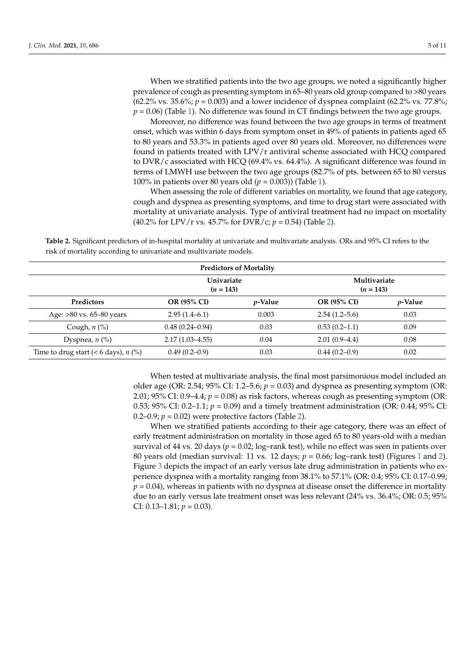When we stratified patients into the two age groups, we noted a significantly higher prevalence of cough as presenting symptom in 65–80 years old group compared to >80 years (62.2% vs. 35.6%;  $p = 0.003$ ) and a lower incidence of dyspnea complaint (62.2% vs. 77.8%;  $p = 0.06$ ) (Table [1\)](#page-3-0). No difference was found in CT findings between the two age groups.

Moreover, no difference was found between the two age groups in terms of treatment onset, which was within 6 days from symptom onset in 49% of patients in patients aged 65 to 80 years and 53.3% in patients aged over 80 years old. Moreover, no differences were found in patients treated with LPV/r antiviral scheme associated with HCQ compared to DVR/c associated with HCQ (69.4% vs. 64.4%). A significant difference was found in terms of LMWH use between the two age groups (82.7% of pts. between 65 to 80 versus 100% in patients over 80 years old (*p* = 0.003)) (Table [1\)](#page-3-0).

When assessing the role of different variables on mortality, we found that age category, cough and dyspnea as presenting symptoms, and time to drug start were associated with mortality at univariate analysis. Type of antiviral treatment had no impact on mortality (40.2% for LPV/r vs. 45.7% for DVR/c; *p* = 0.54) (Table [2\)](#page-4-0).

<span id="page-4-0"></span>**Table 2.** Significant predictors of in-hospital mortality at univariate and multivariate analysis. ORs and 95% CI refers to the risk of mortality according to univariate and multivariate models.

| <b>Predictors of Mortality</b>         |                                  |                 |                             |                 |  |  |  |
|----------------------------------------|----------------------------------|-----------------|-----------------------------|-----------------|--|--|--|
|                                        | <b>Univariate</b><br>$(n = 143)$ |                 | Multivariate<br>$(n = 143)$ |                 |  |  |  |
| Predictors                             | OR (95% CI)                      | <i>v</i> -Value | <b>OR (95% CI)</b>          | <i>p</i> -Value |  |  |  |
| Age: $>80$ vs. 65–80 years             | $2.95(1.4-6.1)$                  | 0.003           | $2.54(1.2-5.6)$             | 0.03            |  |  |  |
| Cough, $n$ $\left(\% \right)$          | $0.48(0.24 - 0.94)$              | 0.03            | $0.53(0.2-1.1)$             | 0.09            |  |  |  |
| Dyspnea, $n$ $\left(\% \right)$        | $2.17(1.03 - 4.55)$              | 0.04            | $2.01(0.9-4.4)$             | 0.08            |  |  |  |
| Time to drug start (< 6 days), $n$ (%) | $0.49(0.2-0.9)$                  | 0.03            | $0.44(0.2-0.9)$             | 0.02            |  |  |  |

When tested at multivariate analysis, the final most parsimonious model included an older age (OR: 2.54; 95% CI: 1.2–5.6;  $p = 0.03$ ) and dyspnea as presenting symptom (OR: 2.01;  $95\%$  CI:  $0.9-4.4$ ;  $p = 0.08$ ) as risk factors, whereas cough as presenting symptom (OR: 0.53; 95% CI: 0.2–1.1;  $p = 0.09$ ) and a timely treatment administration (OR: 0.44; 95% CI: 0.2–0.9;  $p = 0.02$ ) were protective factors (Table [2\)](#page-4-0).

When we stratified patients according to their age category, there was an effect of early treatment administration on mortality in those aged 65 to 80 years-old with a median survival of 44 vs. 20 days ( $p = 0.02$ ; log-rank test), while no effect was seen in patients over 80 years old (median survival: [1](#page-5-0)1 vs. 12 days;  $p = 0.66$ ; log–rank test) (Figures 1 and [2\)](#page-5-1). Figure [3](#page-6-0) depicts the impact of an early versus late drug administration in patients who experience dyspnea with a mortality ranging from 38.1% to 57.1% (OR: 0.4; 95% CI: 0.17–0.99;  $p = 0.04$ ), whereas in patients with no dyspnea at disease onset the difference in mortality due to an early versus late treatment onset was less relevant (24% vs. 36.4%; OR: 0.5; 95% CI:  $0.13-1.81; p = 0.03$ ).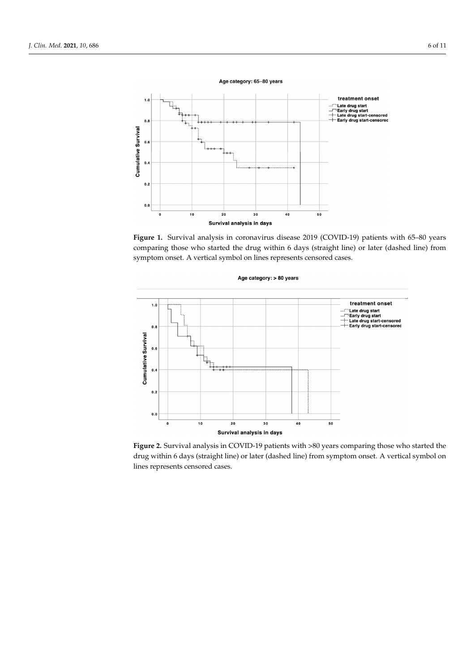<span id="page-5-0"></span>

Figure 1. Survival analysis in coronavirus disease 2019 (COVID-19) patients with 65-80 years comparing those who started the drug within 6 days (straight line) or later (dashed line) from symptom onset. A vertical symbol on lines represents censored cases.

tality due to an early versus late treatment on set  $\alpha$  vs. 36.4%; OR: 0.5; OR: 0.5; OR: 0.5; OR: 0.5; OR: 0.5; OR: 0.5; OR: 0.5; OR: 0.5; OR: 0.5; OR: 0.5; OR: 0.5; OR: 0.5; OR: 0.5; OR: 0.5; OR: 0.5; OR: 0.5; OR: 0.5;

<span id="page-5-1"></span>

**Figure 2.** Survival analysis in COVID-19 patients with >80 years comparing those who started the drug within 6 days (straight line) or later (dashed line) from symptom onset. A vertical symbol on lines represents censored cases.

Age category: > 80 years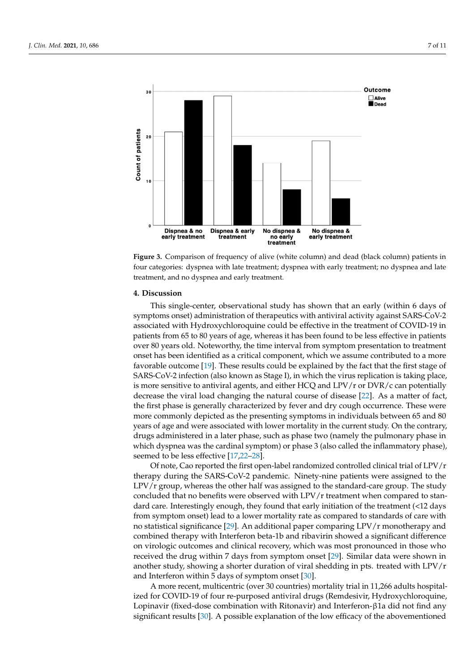<span id="page-6-0"></span>



# **4. Discussion 4. Discussion**

This single-center, observational study has shown that an early (within 6 days of the contract of the contract of the contract of the contract of the contract of the contract of the contract of the contract of the contract symptoms onset) administration of therapeutics with antiviral activity against SARS-CoV-2 associated with Hydroxychloroquine could be effective in the treatment of COVID-19 in patients from 65 to 80 years of age, whereas it has been found to be less effective in patients patients from 65 to 80 years of age, whereas it has been found to be less effective in patients over 80 years old. Noteworthy, the time interval from symptom presentation to treatment over 80 years old. Noteworthy, the time interval from symptom presentation to treatment onset has been identified as a critical component, which we assume contributed to a more onset has been identified as a critical component, which we assume contributed to a more favorable outcome [\[19\]](#page-9-8). These results could be explained by the fact that the first stage of favorable outcome [19]. These results could be explained by the fact that the first stage of SARS-CoV-2 infection (also known as Stage I), in which the virus replication is taking place, is more sensitive to antiviral agents, and either HCQ and LPV/r or DVR/c can potentially decrease the viral load changing the natural course of disease [\[22\]](#page-9-11). As a matter of fact, the first phase is generally characterized by fever and dry cough occurrence. These were more commonly depicted as the presenting symptoms in individuals between 65 and 80 years of age and were associated with lower mortality in the current study. On the contrary, drugs administered in a later phase, such as phase two (namely the pulmonary phase in which dyspnea was the cardinal symptom) or phase 3 (also called the inflammatory phase), seemed to be less effective [17,22–28]. associated with Hydroxychloroquine could be effective in the treatment of COVID-19 in

Of note, Cao reported the first open-label randomized controlled clinical trial of  $LPV/r$ therapy during the SARS-CoV-2 pandemic. Ninety-nine patients were assigned to the LPV/r group, whereas the other half was assigned to the standard-care group. The study concluded that no benefits were observed with  $LPV/r$  treatment when compared to standard care. Interestingly enough, they found that early initiation of the treatment  $\left($  <12 days from symptom onset) lead to a lower mortality rate as compared to standards of care with no statistical significance [\[29\]](#page-9-13). An additional paper comparing LPV/r monotherapy and combined therapy with Interferon beta-1b and ribavirin showed a significant difference<br>con viral pais automas and clinical reservory which we meet propounced in these who experimently and ribative and ribative receivery, which was noted pronounced in these with received the drug within 7 days from symptom onset [\[29\]](#page-9-13). Similar data were shown in ence on virologic outcomes and clinical recovery, which was most proportion another study, showing a shorter duration of viral shedding in pts. treated with LPV/r and Interferon within 5 days of symptom onset [\[30\]](#page-9-14). on virologic outcomes and clinical recovery, which was most pronounced in those who

A more recent, multicentric (over 30 countries) mortality trial in 11,266 adults hospitalized for COVID-19 of four re-purposed antiviral drugs (Remdesivir, Hydroxychloroquine, Lopinavir (fixed-dose combination with Ritonavir) and Interferon-β1a did not find any significant results [\[30\]](#page-9-14). A possible explanation of the low efficacy of the abovementioned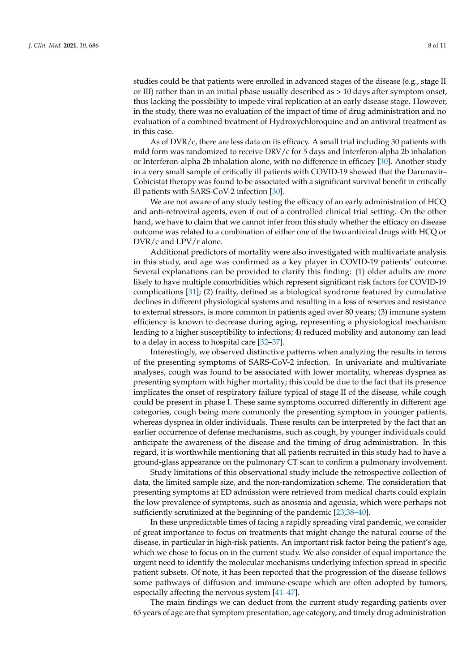studies could be that patients were enrolled in advanced stages of the disease (e.g., stage II or III) rather than in an initial phase usually described as  $> 10$  days after symptom onset, thus lacking the possibility to impede viral replication at an early disease stage. However, in the study, there was no evaluation of the impact of time of drug administration and no evaluation of a combined treatment of Hydroxychloroquine and an antiviral treatment as in this case.

As of DVR/c, there are less data on its efficacy. A small trial including 30 patients with mild form was randomized to receive DRV/c for 5 days and Interferon-alpha 2b inhalation or Interferon-alpha 2b inhalation alone, with no difference in efficacy [\[30\]](#page-9-14). Another study in a very small sample of critically ill patients with COVID-19 showed that the Darunavir– Cobicistat therapy was found to be associated with a significant survival benefit in critically ill patients with SARS-CoV-2 infection [\[30\]](#page-9-14).

We are not aware of any study testing the efficacy of an early administration of HCQ and anti-retroviral agents, even if out of a controlled clinical trial setting. On the other hand, we have to claim that we cannot infer from this study whether the efficacy on disease outcome was related to a combination of either one of the two antiviral drugs with HCQ or DVR/c and LPV/r alone.

Additional predictors of mortality were also investigated with multivariate analysis in this study, and age was confirmed as a key player in COVID-19 patients' outcome. Several explanations can be provided to clarify this finding: (1) older adults are more likely to have multiple comorbidities which represent significant risk factors for COVID-19 complications [\[31\]](#page-9-15); (2) frailty, defined as a biological syndrome featured by cumulative declines in different physiological systems and resulting in a loss of reserves and resistance to external stressors, is more common in patients aged over 80 years; (3) immune system efficiency is known to decrease during aging, representing a physiological mechanism leading to a higher susceptibility to infections; 4) reduced mobility and autonomy can lead to a delay in access to hospital care [\[32](#page-10-0)[–37\]](#page-10-1).

Interestingly, we observed distinctive patterns when analyzing the results in terms of the presenting symptoms of SARS-CoV-2 infection. In univariate and multivariate analyses, cough was found to be associated with lower mortality, whereas dyspnea as presenting symptom with higher mortality; this could be due to the fact that its presence implicates the onset of respiratory failure typical of stage II of the disease, while cough could be present in phase I. These same symptoms occurred differently in different age categories, cough being more commonly the presenting symptom in younger patients, whereas dyspnea in older individuals. These results can be interpreted by the fact that an earlier occurrence of defense mechanisms, such as cough, by younger individuals could anticipate the awareness of the disease and the timing of drug administration. In this regard, it is worthwhile mentioning that all patients recruited in this study had to have a ground-glass appearance on the pulmonary CT scan to confirm a pulmonary involvement.

Study limitations of this observational study include the retrospective collection of data, the limited sample size, and the non-randomization scheme. The consideration that presenting symptoms at ED admission were retrieved from medical charts could explain the low prevalence of symptoms, such as anosmia and ageusia, which were perhaps not sufficiently scrutinized at the beginning of the pandemic [\[23,](#page-9-16)[38](#page-10-2)[–40\]](#page-10-3).

In these unpredictable times of facing a rapidly spreading viral pandemic, we consider of great importance to focus on treatments that might change the natural course of the disease, in particular in high-risk patients. An important risk factor being the patient's age, which we chose to focus on in the current study. We also consider of equal importance the urgent need to identify the molecular mechanisms underlying infection spread in specific patient subsets. Of note, it has been reported that the progression of the disease follows some pathways of diffusion and immune-escape which are often adopted by tumors, especially affecting the nervous system [\[41–](#page-10-4)[47\]](#page-10-5).

The main findings we can deduct from the current study regarding patients over 65 years of age are that symptom presentation, age category, and timely drug administration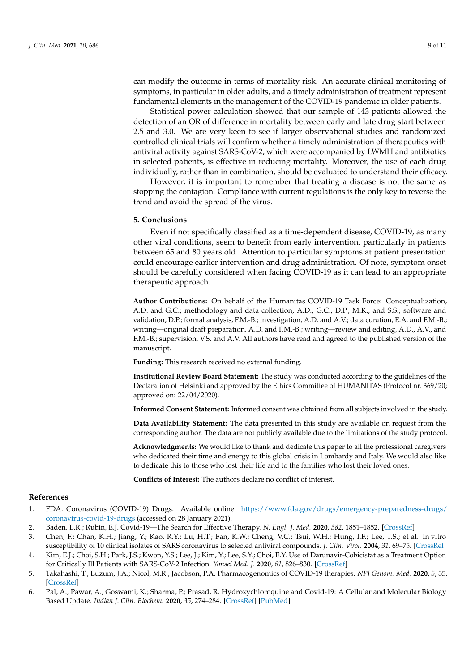can modify the outcome in terms of mortality risk. An accurate clinical monitoring of symptoms, in particular in older adults, and a timely administration of treatment represent fundamental elements in the management of the COVID-19 pandemic in older patients.

Statistical power calculation showed that our sample of 143 patients allowed the detection of an OR of difference in mortality between early and late drug start between 2.5 and 3.0. We are very keen to see if larger observational studies and randomized controlled clinical trials will confirm whether a timely administration of therapeutics with antiviral activity against SARS-CoV-2, which were accompanied by LWMH and antibiotics in selected patients, is effective in reducing mortality. Moreover, the use of each drug individually, rather than in combination, should be evaluated to understand their efficacy.

However, it is important to remember that treating a disease is not the same as stopping the contagion. Compliance with current regulations is the only key to reverse the trend and avoid the spread of the virus.

### **5. Conclusions**

Even if not specifically classified as a time-dependent disease, COVID-19, as many other viral conditions, seem to benefit from early intervention, particularly in patients between 65 and 80 years old. Attention to particular symptoms at patient presentation could encourage earlier intervention and drug administration. Of note, symptom onset should be carefully considered when facing COVID-19 as it can lead to an appropriate therapeutic approach.

**Author Contributions:** On behalf of the Humanitas COVID-19 Task Force: Conceptualization, A.D. and G.C.; methodology and data collection, A.D., G.C., D.P., M.K., and S.S.; software and validation, D.P.; formal analysis, F.M.-B.; investigation, A.D. and A.V.; data curation, E.A. and F.M.-B.; writing—original draft preparation, A.D. and F.M.-B.; writing—review and editing, A.D., A.V., and F.M.-B.; supervision, V.S. and A.V. All authors have read and agreed to the published version of the manuscript.

**Funding:** This research received no external funding.

**Institutional Review Board Statement:** The study was conducted according to the guidelines of the Declaration of Helsinki and approved by the Ethics Committee of HUMANITAS (Protocol nr. 369/20; approved on: 22/04/2020).

**Informed Consent Statement:** Informed consent was obtained from all subjects involved in the study.

**Data Availability Statement:** The data presented in this study are available on request from the corresponding author. The data are not publicly available due to the limitations of the study protocol.

**Acknowledgments:** We would like to thank and dedicate this paper to all the professional caregivers who dedicated their time and energy to this global crisis in Lombardy and Italy. We would also like to dedicate this to those who lost their life and to the families who lost their loved ones.

**Conflicts of Interest:** The authors declare no conflict of interest.

#### **References**

- <span id="page-8-0"></span>1. FDA. Coronavirus (COVID-19) Drugs. Available online: [https://www.fda.gov/drugs/emergency-preparedness-drugs/](https://www.fda.gov/drugs/emergency-preparedness-drugs/coronavirus-covid-19-drugs) [coronavirus-covid-19-drugs](https://www.fda.gov/drugs/emergency-preparedness-drugs/coronavirus-covid-19-drugs) (accessed on 28 January 2021).
- <span id="page-8-1"></span>2. Baden, L.R.; Rubin, E.J. Covid-19—The Search for Effective Therapy. *N. Engl. J. Med.* **2020**, *382*, 1851–1852. [\[CrossRef\]](http://doi.org/10.1056/NEJMe2005477)
- 3. Chen, F.; Chan, K.H.; Jiang, Y.; Kao, R.Y.; Lu, H.T.; Fan, K.W.; Cheng, V.C.; Tsui, W.H.; Hung, I.F.; Lee, T.S.; et al. In vitro susceptibility of 10 clinical isolates of SARS coronavirus to selected antiviral compounds. *J. Clin. Virol.* **2004**, *31*, 69–75. [\[CrossRef\]](http://doi.org/10.1016/j.jcv.2004.03.003)
- 4. Kim, E.J.; Choi, S.H.; Park, J.S.; Kwon, Y.S.; Lee, J.; Kim, Y.; Lee, S.Y.; Choi, E.Y. Use of Darunavir-Cobicistat as a Treatment Option for Critically Ill Patients with SARS-CoV-2 Infection. *Yonsei Med. J.* **2020**, *61*, 826–830. [\[CrossRef\]](http://doi.org/10.3349/ymj.2020.61.9.826)
- <span id="page-8-2"></span>5. Takahashi, T.; Luzum, J.A.; Nicol, M.R.; Jacobson, P.A. Pharmacogenomics of COVID-19 therapies. *NPJ Genom. Med.* **2020**, *5*, 35. [\[CrossRef\]](http://doi.org/10.1038/s41525-020-00143-y)
- <span id="page-8-3"></span>6. Pal, A.; Pawar, A.; Goswami, K.; Sharma, P.; Prasad, R. Hydroxychloroquine and Covid-19: A Cellular and Molecular Biology Based Update. *Indian J. Clin. Biochem.* **2020**, *35*, 274–284. [\[CrossRef\]](http://doi.org/10.1007/s12291-020-00900-x) [\[PubMed\]](http://www.ncbi.nlm.nih.gov/pubmed/32641874)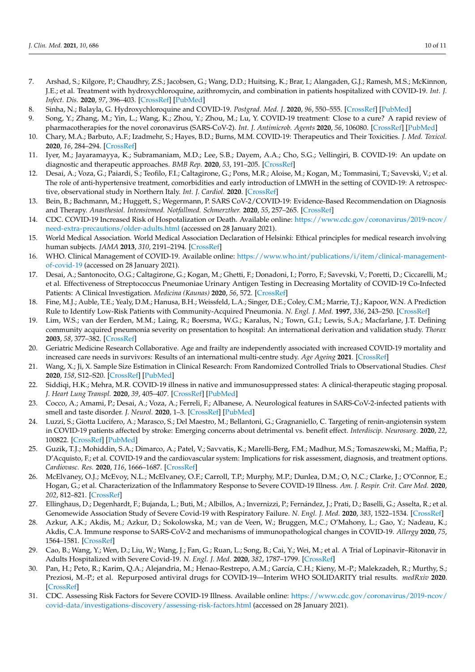- 7. Arshad, S.; Kilgore, P.; Chaudhry, Z.S.; Jacobsen, G.; Wang, D.D.; Huitsing, K.; Brar, I.; Alangaden, G.J.; Ramesh, M.S.; McKinnon, J.E.; et al. Treatment with hydroxychloroquine, azithromycin, and combination in patients hospitalized with COVID-19. *Int. J. Infect. Dis.* **2020**, *97*, 396–403. [\[CrossRef\]](http://doi.org/10.1016/j.ijid.2020.06.099) [\[PubMed\]](http://www.ncbi.nlm.nih.gov/pubmed/32623082)
- <span id="page-9-0"></span>8. Sinha, N.; Balayla, G. Hydroxychloroquine and COVID-19. *Postgrad. Med. J.* **2020**, *96*, 550–555. [\[CrossRef\]](http://doi.org/10.1136/postgradmedj-2020-137785) [\[PubMed\]](http://www.ncbi.nlm.nih.gov/pubmed/32295814)
- <span id="page-9-1"></span>9. Song, Y.; Zhang, M.; Yin, L.; Wang, K.; Zhou, Y.; Zhou, M.; Lu, Y. COVID-19 treatment: Close to a cure? A rapid review of pharmacotherapies for the novel coronavirus (SARS-CoV-2). *Int. J. Antimicrob. Agents* **2020**, *56*, 106080. [\[CrossRef\]](http://doi.org/10.1016/j.ijantimicag.2020.106080) [\[PubMed\]](http://www.ncbi.nlm.nih.gov/pubmed/32634603)
- 10. Chary, M.A.; Barbuto, A.F.; Izadmehr, S.; Hayes, B.D.; Burns, M.M. COVID-19: Therapeutics and Their Toxicities. *J. Med. Toxicol.* **2020**, *16*, 284–294. [\[CrossRef\]](http://doi.org/10.1007/s13181-020-00777-5)
- 11. Iyer, M.; Jayaramayya, K.; Subramaniam, M.D.; Lee, S.B.; Dayem, A.A.; Cho, S.G.; Vellingiri, B. COVID-19: An update on diagnostic and therapeutic approaches. *BMB Rep.* **2020**, *53*, 191–205. [\[CrossRef\]](http://doi.org/10.5483/BMBRep.2020.53.4.080)
- 12. Desai, A.; Voza, G.; Paiardi, S.; Teofilo, F.I.; Caltagirone, G.; Pons, M.R.; Aloise, M.; Kogan, M.; Tommasini, T.; Savevski, V.; et al. The role of anti-hypertensive treatment, comorbidities and early introduction of LMWH in the setting of COVID-19: A retrospective, observational study in Northern Italy. *Int. J. Cardiol.* **2020**. [\[CrossRef\]](http://doi.org/10.1016/j.ijcard.2020.09.062)
- <span id="page-9-2"></span>13. Bein, B.; Bachmann, M.; Huggett, S.; Wegermann, P. SARS CoV-2/COVID-19: Evidence-Based Recommendation on Diagnosis and Therapy. *Anasthesiol. Intensivmed. Notfallmed. Schmerzther.* **2020**, *55*, 257–265. [\[CrossRef\]](http://doi.org/10.1055/a-1156-3991)
- <span id="page-9-3"></span>14. CDC. COVID-19 Increased Risk of Hospotalization or Death. Available online: [https://www.cdc.gov/coronavirus/2019-ncov/](https://www.cdc.gov/coronavirus/2019-ncov/need-extra-precautions/older-adults.html) [need-extra-precautions/older-adults.html](https://www.cdc.gov/coronavirus/2019-ncov/need-extra-precautions/older-adults.html) (accessed on 28 January 2021).
- <span id="page-9-4"></span>15. World Medical Association. World Medical Association Declaration of Helsinki: Ethical principles for medical research involving human subjects. *JAMA* **2013**, *310*, 2191–2194. [\[CrossRef\]](http://doi.org/10.1001/jama.2013.281053)
- <span id="page-9-5"></span>16. WHO. Clinical Management of COVID-19. Available online: [https://www.who.int/publications/i/item/clinical-management](https://www.who.int/publications/i/item/clinical-management-of-covid-19)[of-covid-19](https://www.who.int/publications/i/item/clinical-management-of-covid-19) (accessed on 28 January 2021).
- <span id="page-9-6"></span>17. Desai, A.; Santonocito, O.G.; Caltagirone, G.; Kogan, M.; Ghetti, F.; Donadoni, I.; Porro, F.; Savevski, V.; Poretti, D.; Ciccarelli, M.; et al. Effectiveness of Streptococcus Pneumoniae Urinary Antigen Testing in Decreasing Mortality of COVID-19 Co-Infected Patients: A Clinical Investigation. *Medicina (Kaunas)* **2020**, *56*, 572. [\[CrossRef\]](http://doi.org/10.3390/medicina56110572)
- <span id="page-9-7"></span>18. Fine, M.J.; Auble, T.E.; Yealy, D.M.; Hanusa, B.H.; Weissfeld, L.A.; Singer, D.E.; Coley, C.M.; Marrie, T.J.; Kapoor, W.N. A Prediction Rule to Identify Low-Risk Patients with Community-Acquired Pneumonia. *N. Engl. J. Med.* **1997**, *336*, 243–250. [\[CrossRef\]](http://doi.org/10.1056/NEJM199701233360402)
- <span id="page-9-8"></span>19. Lim, W.S.; van der Eerden, M.M.; Laing, R.; Boersma, W.G.; Karalus, N.; Town, G.I.; Lewis, S.A.; Macfarlane, J.T. Defining community acquired pneumonia severity on presentation to hospital: An international derivation and validation study. *Thorax* **2003**, *58*, 377–382. [\[CrossRef\]](http://doi.org/10.1136/thorax.58.5.377)
- <span id="page-9-9"></span>20. Geriatric Medicine Research Collaborative. Age and frailty are independently associated with increased COVID-19 mortality and increased care needs in survivors: Results of an international multi-centre study. *Age Ageing* **2021**. [\[CrossRef\]](http://doi.org/10.1093/ageing/afab026)
- <span id="page-9-10"></span>21. Wang, X.; Ji, X. Sample Size Estimation in Clinical Research: From Randomized Controlled Trials to Observational Studies. *Chest* **2020**, *158*, S12–S20. [\[CrossRef\]](http://doi.org/10.1016/j.chest.2020.03.010) [\[PubMed\]](http://www.ncbi.nlm.nih.gov/pubmed/32658647)
- <span id="page-9-11"></span>22. Siddiqi, H.K.; Mehra, M.R. COVID-19 illness in native and immunosuppressed states: A clinical-therapeutic staging proposal. *J. Heart Lung Transpl.* **2020**, *39*, 405–407. [\[CrossRef\]](http://doi.org/10.1016/j.healun.2020.03.012) [\[PubMed\]](http://www.ncbi.nlm.nih.gov/pubmed/32362390)
- <span id="page-9-16"></span>23. Cocco, A.; Amami, P.; Desai, A.; Voza, A.; Ferreli, F.; Albanese, A. Neurological features in SARS-CoV-2-infected patients with smell and taste disorder. *J. Neurol.* **2020**, 1–3. [\[CrossRef\]](http://doi.org/10.1007/s00415-020-10135-8) [\[PubMed\]](http://www.ncbi.nlm.nih.gov/pubmed/32767117)
- 24. Luzzi, S.; Giotta Lucifero, A.; Marasco, S.; Del Maestro, M.; Bellantoni, G.; Gragnaniello, C. Targeting of renin-angiotensin system in COVID-19 patients affected by stroke: Emerging concerns about detrimental vs. benefit effect. *Interdiscip. Neurosurg.* **2020**, *22*, 100822. [\[CrossRef\]](http://doi.org/10.1016/j.inat.2020.100822) [\[PubMed\]](http://www.ncbi.nlm.nih.gov/pubmed/32835018)
- 25. Guzik, T.J.; Mohiddin, S.A.; Dimarco, A.; Patel, V.; Savvatis, K.; Marelli-Berg, F.M.; Madhur, M.S.; Tomaszewski, M.; Maffia, P.; D'Acquisto, F.; et al. COVID-19 and the cardiovascular system: Implications for risk assessment, diagnosis, and treatment options. *Cardiovasc. Res.* **2020**, *116*, 1666–1687. [\[CrossRef\]](http://doi.org/10.1093/cvr/cvaa106)
- 26. McElvaney, O.J.; McEvoy, N.L.; McElvaney, O.F.; Carroll, T.P.; Murphy, M.P.; Dunlea, D.M.; O, N.C.; Clarke, J.; O'Connor, E.; Hogan, G.; et al. Characterization of the Inflammatory Response to Severe COVID-19 Illness. *Am. J. Respir. Crit. Care Med.* **2020**, *202*, 812–821. [\[CrossRef\]](http://doi.org/10.1164/rccm.202005-1583OC)
- 27. Ellinghaus, D.; Degenhardt, F.; Bujanda, L.; Buti, M.; Albillos, A.; Invernizzi, P.; Fernández, J.; Prati, D.; Baselli, G.; Asselta, R.; et al. Genomewide Association Study of Severe Covid-19 with Respiratory Failure. *N. Engl. J. Med.* **2020**, *383*, 1522–1534. [\[CrossRef\]](http://doi.org/10.1056/NEJMoa2020283)
- <span id="page-9-12"></span>28. Azkur, A.K.; Akdis, M.; Azkur, D.; Sokolowska, M.; van de Veen, W.; Bruggen, M.C.; O'Mahony, L.; Gao, Y.; Nadeau, K.; Akdis, C.A. Immune response to SARS-CoV-2 and mechanisms of immunopathological changes in COVID-19. *Allergy* **2020**, *75*, 1564–1581. [\[CrossRef\]](http://doi.org/10.1111/all.14364)
- <span id="page-9-13"></span>29. Cao, B.; Wang, Y.; Wen, D.; Liu, W.; Wang, J.; Fan, G.; Ruan, L.; Song, B.; Cai, Y.; Wei, M.; et al. A Trial of Lopinavir–Ritonavir in Adults Hospitalized with Severe Covid-19. *N. Engl. J. Med.* **2020**, *382*, 1787–1799. [\[CrossRef\]](http://doi.org/10.1056/NEJMoa2001282)
- <span id="page-9-14"></span>30. Pan, H.; Peto, R.; Karim, Q.A.; Alejandria, M.; Henao-Restrepo, A.M.; García, C.H.; Kieny, M.-P.; Malekzadeh, R.; Murthy, S.; Preziosi, M.-P.; et al. Repurposed antiviral drugs for COVID-19—Interim WHO SOLIDARITY trial results. *medRxiv* **2020**. [\[CrossRef\]](http://doi.org/10.1101/2020.10.15.20209817)
- <span id="page-9-15"></span>31. CDC. Assessing Risk Factors for Severe COVID-19 Illness. Available online: [https://www.cdc.gov/coronavirus/2019-ncov/](https://www.cdc.gov/coronavirus/2019-ncov/covid-data/investigations-discovery/assessing-risk-factors.html) [covid-data/investigations-discovery/assessing-risk-factors.html](https://www.cdc.gov/coronavirus/2019-ncov/covid-data/investigations-discovery/assessing-risk-factors.html) (accessed on 28 January 2021).